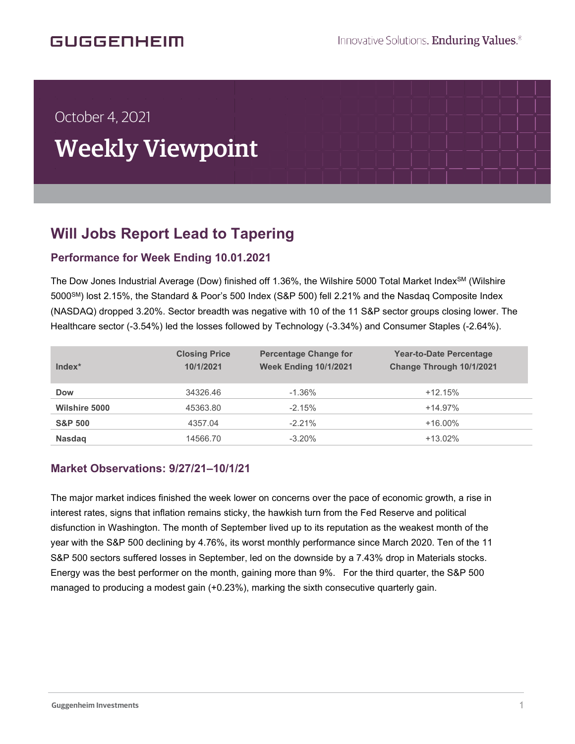# **GUGGENHEIM**

í

# October 4, 2021 Weekly Viewpoint

## **Will Jobs Report Lead to Tapering** .<br>k

### **Performance for Week Ending 10.01.2021**

The Dow Jones Industrial Average (Dow) finished off 1.36%, the Wilshire 5000 Total Market Index<sup>SM</sup> (Wilshire 5000SM) lost 2.15%, the Standard & Poor's 500 Index (S&P 500) fell 2.21% and the Nasdaq Composite Index (NASDAQ) dropped 3.20%. Sector breadth was negative with 10 of the 11 S&P sector groups closing lower. The Healthcare sector (-3.54%) led the losses followed by Technology (-3.34%) and Consumer Staples (-2.64%).

| Index*               | <b>Closing Price</b><br>10/1/2021 | <b>Percentage Change for</b><br><b>Week Ending 10/1/2021</b> | <b>Year-to-Date Percentage</b><br>Change Through 10/1/2021 |
|----------------------|-----------------------------------|--------------------------------------------------------------|------------------------------------------------------------|
| <b>Dow</b>           | 34326.46                          | $-1.36\%$                                                    | $+12.15%$                                                  |
| <b>Wilshire 5000</b> | 45363.80                          | $-2.15%$                                                     | $+14.97%$                                                  |
| <b>S&amp;P 500</b>   | 4357.04                           | $-2.21%$                                                     | $+16.00\%$                                                 |
| <b>Nasdag</b>        | 14566.70                          | $-3.20%$                                                     | $+13.02%$                                                  |

#### **Market Observations: 9/27/21–10/1/21**

The major market indices finished the week lower on concerns over the pace of economic growth, a rise in interest rates, signs that inflation remains sticky, the hawkish turn from the Fed Reserve and political disfunction in Washington. The month of September lived up to its reputation as the weakest month of the year with the S&P 500 declining by 4.76%, its worst monthly performance since March 2020. Ten of the 11 S&P 500 sectors suffered losses in September, led on the downside by a 7.43% drop in Materials stocks. Energy was the best performer on the month, gaining more than 9%. For the third quarter, the S&P 500 managed to producing a modest gain (+0.23%), marking the sixth consecutive quarterly gain.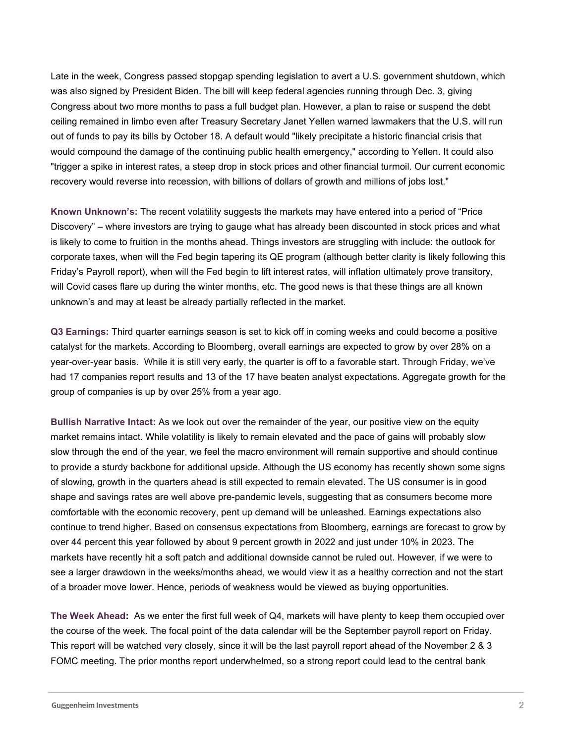Late in the week, Congress passed stopgap spending legislation to avert a U.S. government shutdown, which was also signed by President Biden. The bill will keep federal agencies running through Dec. 3, giving Congress about two more months to pass a full budget plan. However, a plan to raise or suspend the debt ceiling remained in limbo even after Treasury Secretary Janet Yellen warned lawmakers that the U.S. will run out of funds to pay its bills by October 18. A default would "likely precipitate a historic financial crisis that would compound the damage of the continuing public health emergency," according to Yellen. It could also "trigger a spike in interest rates, a steep drop in stock prices and other financial turmoil. Our current economic recovery would reverse into recession, with billions of dollars of growth and millions of jobs lost."

**Known Unknown's:** The recent volatility suggests the markets may have entered into a period of "Price Discovery" – where investors are trying to gauge what has already been discounted in stock prices and what is likely to come to fruition in the months ahead. Things investors are struggling with include: the outlook for corporate taxes, when will the Fed begin tapering its QE program (although better clarity is likely following this Friday's Payroll report), when will the Fed begin to lift interest rates, will inflation ultimately prove transitory, will Covid cases flare up during the winter months, etc. The good news is that these things are all known unknown's and may at least be already partially reflected in the market.

**Q3 Earnings:** Third quarter earnings season is set to kick off in coming weeks and could become a positive catalyst for the markets. According to Bloomberg, overall earnings are expected to grow by over 28% on a year-over-year basis. While it is still very early, the quarter is off to a favorable start. Through Friday, we've had 17 companies report results and 13 of the 17 have beaten analyst expectations. Aggregate growth for the group of companies is up by over 25% from a year ago.

**Bullish Narrative Intact:** As we look out over the remainder of the year, our positive view on the equity market remains intact. While volatility is likely to remain elevated and the pace of gains will probably slow slow through the end of the year, we feel the macro environment will remain supportive and should continue to provide a sturdy backbone for additional upside. Although the US economy has recently shown some signs of slowing, growth in the quarters ahead is still expected to remain elevated. The US consumer is in good shape and savings rates are well above pre-pandemic levels, suggesting that as consumers become more comfortable with the economic recovery, pent up demand will be unleashed. Earnings expectations also continue to trend higher. Based on consensus expectations from Bloomberg, earnings are forecast to grow by over 44 percent this year followed by about 9 percent growth in 2022 and just under 10% in 2023. The markets have recently hit a soft patch and additional downside cannot be ruled out. However, if we were to see a larger drawdown in the weeks/months ahead, we would view it as a healthy correction and not the start of a broader move lower. Hence, periods of weakness would be viewed as buying opportunities.

**The Week Ahead:** As we enter the first full week of Q4, markets will have plenty to keep them occupied over the course of the week. The focal point of the data calendar will be the September payroll report on Friday. This report will be watched very closely, since it will be the last payroll report ahead of the November 2 & 3 FOMC meeting. The prior months report underwhelmed, so a strong report could lead to the central bank